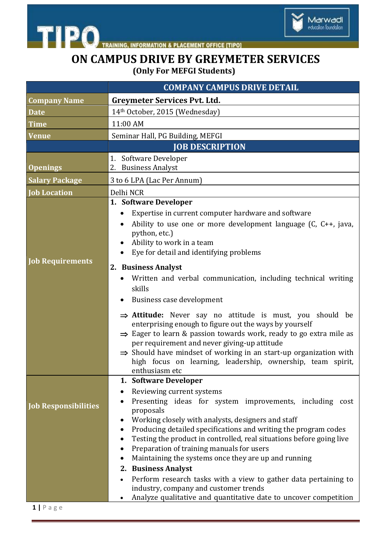



## **ON CAMPUS DRIVE BY GREYMETER SERVICES (Only For MEFGI Students)**

|                                                   | <b>COMPANY CAMPUS DRIVE DETAIL</b>                                                                                                                                                                                                                                                                                                                                                                                                                                                                                                                                                                                                       |
|---------------------------------------------------|------------------------------------------------------------------------------------------------------------------------------------------------------------------------------------------------------------------------------------------------------------------------------------------------------------------------------------------------------------------------------------------------------------------------------------------------------------------------------------------------------------------------------------------------------------------------------------------------------------------------------------------|
| <b>Company Name</b>                               | <b>Greymeter Services Pvt. Ltd.</b>                                                                                                                                                                                                                                                                                                                                                                                                                                                                                                                                                                                                      |
| <b>Date</b>                                       | 14th October, 2015 (Wednesday)                                                                                                                                                                                                                                                                                                                                                                                                                                                                                                                                                                                                           |
| Time                                              | 11:00 AM                                                                                                                                                                                                                                                                                                                                                                                                                                                                                                                                                                                                                                 |
| <b>Venue</b>                                      | Seminar Hall, PG Building, MEFGI                                                                                                                                                                                                                                                                                                                                                                                                                                                                                                                                                                                                         |
|                                                   | <b>JOB DESCRIPTION</b>                                                                                                                                                                                                                                                                                                                                                                                                                                                                                                                                                                                                                   |
| <b>Openings</b>                                   | 1. Software Developer<br>2. Business Analyst                                                                                                                                                                                                                                                                                                                                                                                                                                                                                                                                                                                             |
| <b>Salary Package</b>                             | 3 to 6 LPA (Lac Per Annum)                                                                                                                                                                                                                                                                                                                                                                                                                                                                                                                                                                                                               |
| <b>Job Location</b>                               | Delhi NCR                                                                                                                                                                                                                                                                                                                                                                                                                                                                                                                                                                                                                                |
| <b>Job Requirements</b>                           | 1. Software Developer<br>Expertise in current computer hardware and software<br>Ability to use one or more development language $(C, C++, java)$<br>python, etc.)<br>Ability to work in a team<br>Eye for detail and identifying problems<br>2. Business Analyst<br>Written and verbal communication, including technical writing                                                                                                                                                                                                                                                                                                        |
|                                                   | skills<br>Business case development<br>$\Rightarrow$ Attitude: Never say no attitude is must, you should be<br>enterprising enough to figure out the ways by yourself<br>$\Rightarrow$ Eager to learn & passion towards work, ready to go extra mile as<br>per requirement and never giving-up attitude<br>$\Rightarrow$ Should have mindset of working in an start-up organization with<br>high focus on learning, leadership, ownership, team spirit,<br>enthusiasm etc                                                                                                                                                                |
| <b>Job Responsibilities</b><br>$1   P \text{age}$ | 1. Software Developer<br>Reviewing current systems<br>Presenting ideas for system improvements, including cost<br>proposals<br>Working closely with analysts, designers and staff<br>Producing detailed specifications and writing the program codes<br>Testing the product in controlled, real situations before going live<br>Preparation of training manuals for users<br>Maintaining the systems once they are up and running<br>2. Business Analyst<br>Perform research tasks with a view to gather data pertaining to<br>industry, company and customer trends<br>Analyze qualitative and quantitative date to uncover competition |